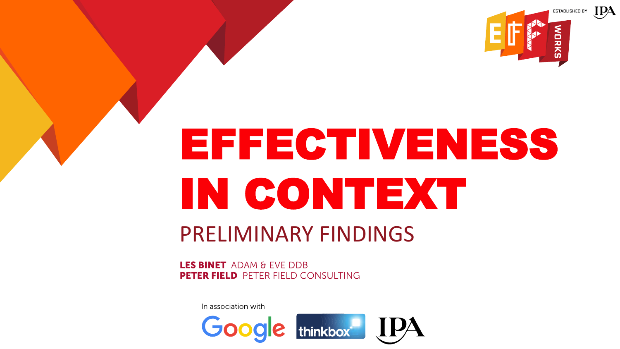

# EFFECTIVENESS IN CONTEXT PRELIMINARY FINDINGS

**LES BINET** ADAM & FVF DDB **PETER FIELD PETER FIELD CONSULTING** 

In association with

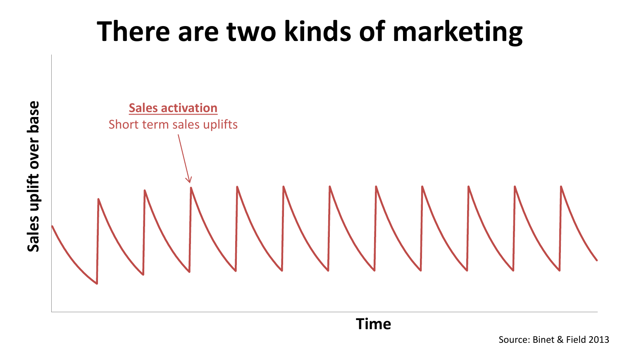## **There are two kinds of marketing**



Source: Binet & Field 2013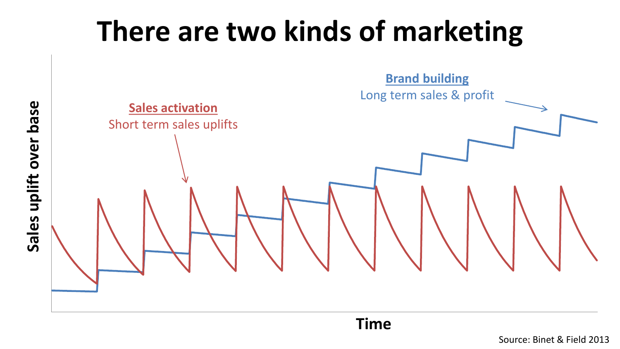# **There are two kinds of marketing**



Sales uplift over base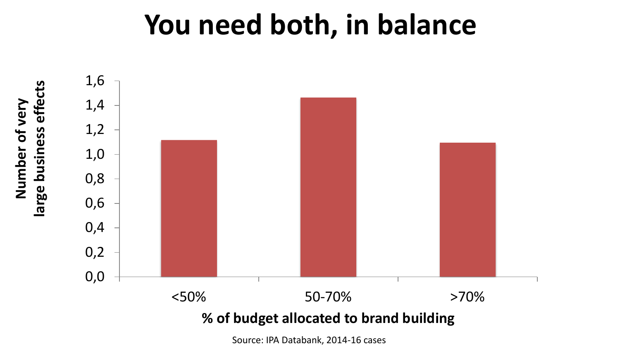#### **You need both, in balance**



Source: IPA Databank, 2014-16 cases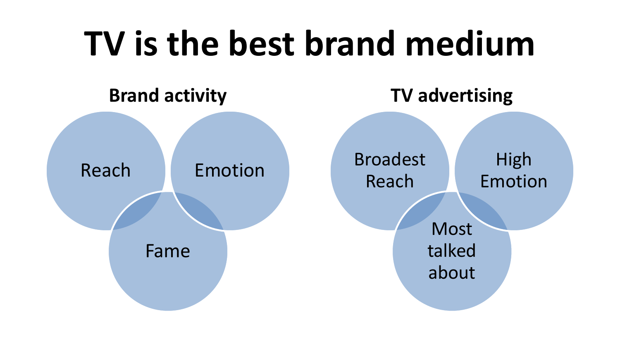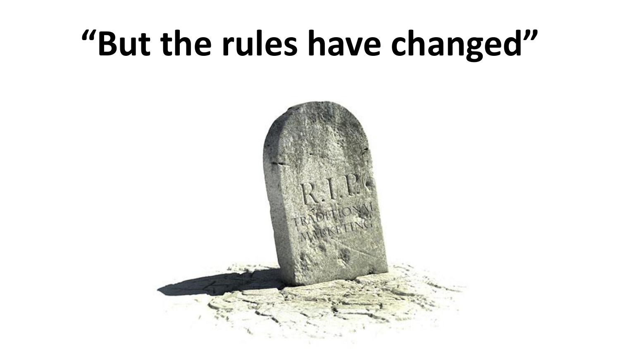# **"But the rules have changed"**

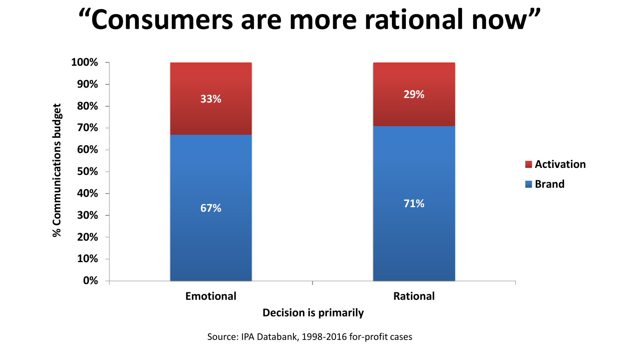### **"Consumers are more rational now"**



Source: IPA Databank, 1998-2016 for-profit cases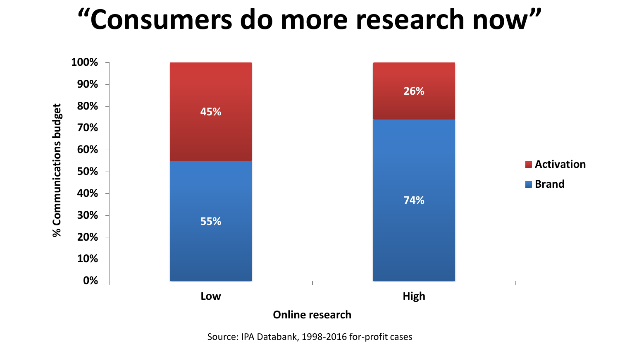## **"Consumers do more research now"**



Source: IPA Databank, 1998-2016 for-profit cases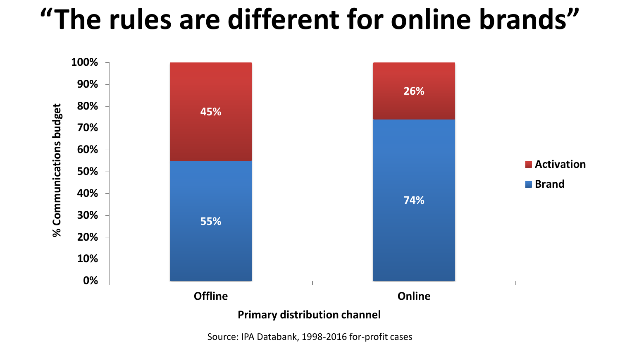### **"The rules are different for online brands"**



Source: IPA Databank, 1998-2016 for-profit cases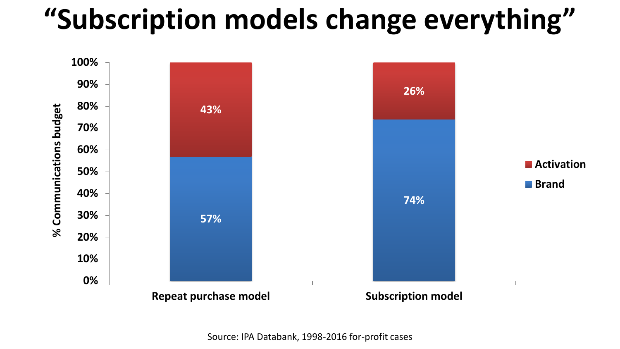# **"Subscription models change everything"**

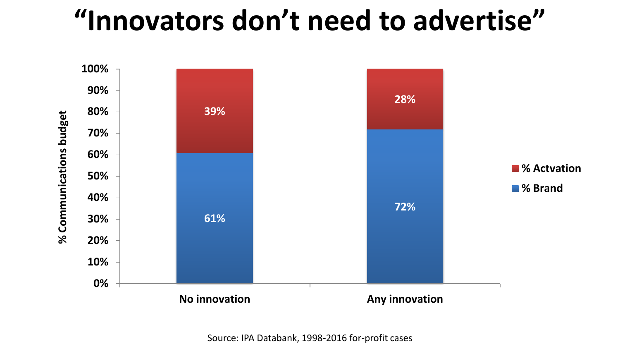#### **"Innovators don't need to advertise"**

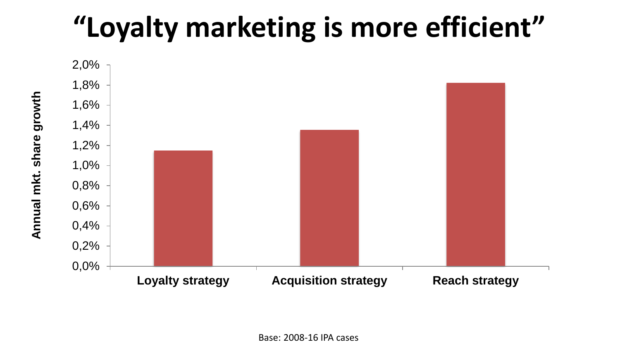## **"Loyalty marketing is more efficient"**

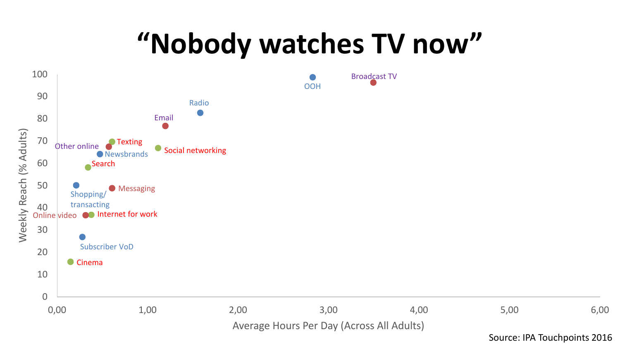#### **"Nobody watches TV now"**



Source: IPA Touchpoints 2016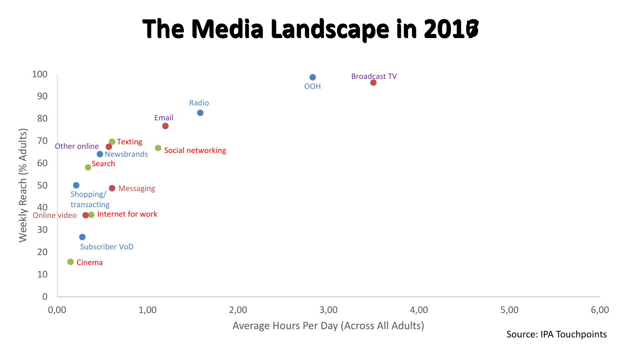#### **The Media Landscape in 2016 The Media Landscape in 2017**



Source: IPA Touchpoints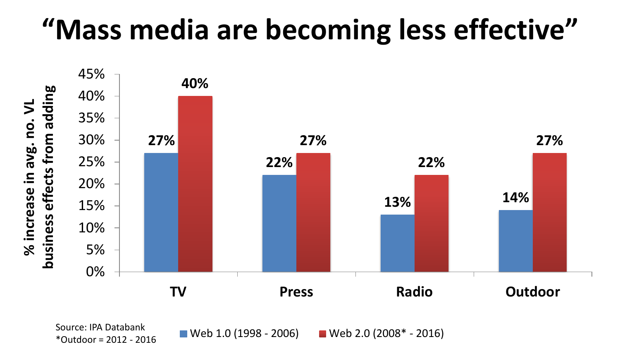### **"Mass media are becoming less effective"**



\*Outdoor = 2012 - 2016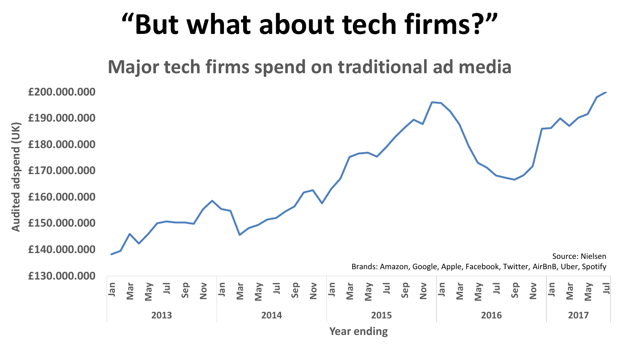#### **"But what about tech firms?"**

**Major tech firms spend on traditional ad media**

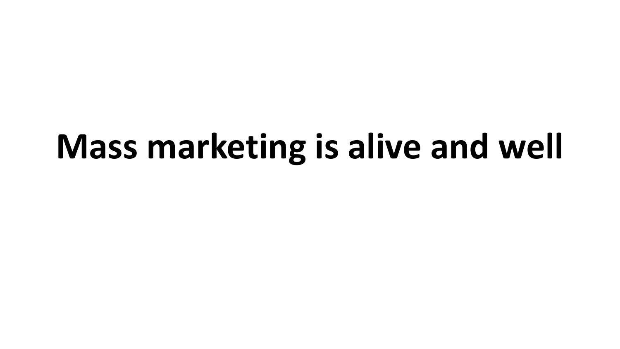# **Mass marketing is alive and well**